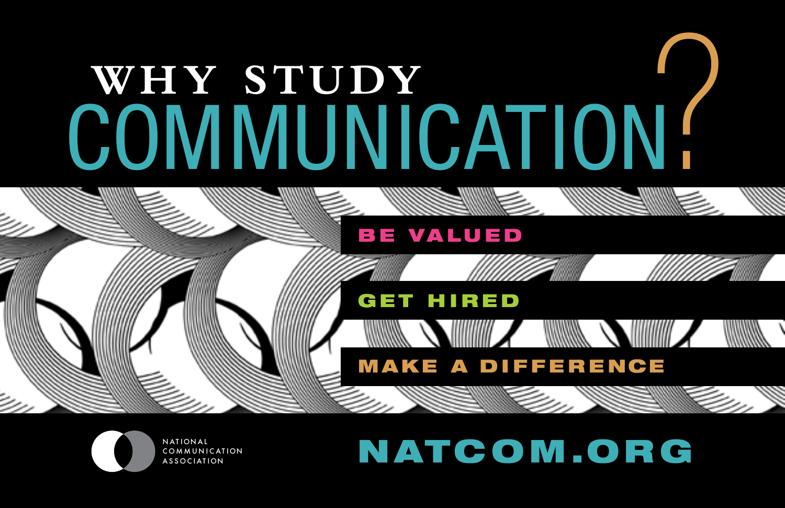# WHY STUDY COMMUNICATION!

### **BE VALUED**

## **GET HIRED**



# NATCOM.ORG

**MAKE A DIFFERENCE** 

**WINNER SHIMING A WINNER SHIMING A SHIMING A SHIMING A SHIMING A SHIMING A SHIMING A SHIMING A SHIMING A SHIMING**